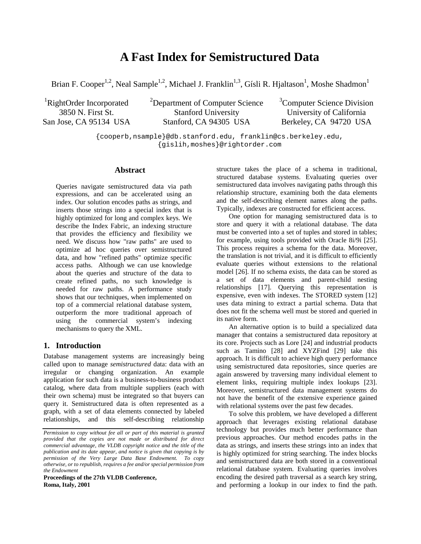# **A Fast Index for Semistructured Data**

Brian F. Cooper<sup>1,2</sup>, Neal Sample<sup>1,2</sup>, Michael J. Franklin<sup>1,3</sup>, Gísli R. Hjaltason<sup>1</sup>, Moshe Shadmon<sup>1</sup>

<sup>1</sup>RightOrder Incorporated 3850 N. First St. San Jose, CA 95134 USA <sup>2</sup>Department of Computer Science Stanford University Stanford, CA 94305 USA

<sup>3</sup>Computer Science Division University of California Berkeley, CA 94720 USA

{cooperb,nsample}@db.stanford.edu, franklin@cs.berkeley.edu, {gislih,moshes}@rightorder.com

# **Abstract**

Queries navigate semistructured data via path expressions, and can be accelerated using an index. Our solution encodes paths as strings, and inserts those strings into a special index that is highly optimized for long and complex keys. We describe the Index Fabric, an indexing structure that provides the efficiency and flexibility we need. We discuss how "raw paths" are used to optimize ad hoc queries over semistructured data, and how "refined paths" optimize specific access paths. Although we can use knowledge about the queries and structure of the data to create refined paths, no such knowledge is needed for raw paths. A performance study shows that our techniques, when implemented on top of a commercial relational database system, outperform the more traditional approach of using the commercial system's indexing mechanisms to query the XML.

# **1. Introduction**

Database management systems are increasingly being called upon to manage *semistructured* data: data with an irregular or changing organization. An example application for such data is a business-to-business product catalog, where data from multiple suppliers (each with their own schema) must be integrated so that buyers can query it. Semistructured data is often represented as a graph, with a set of data elements connected by labeled relationships, and this self-describing relationship

**Proceedings of the 27th VLDB Conference, Roma, Italy, 2001**

structure takes the place of a schema in traditional, structured database systems. Evaluating queries over semistructured data involves navigating paths through this relationship structure, examining both the data elements and the self-describing element names along the paths. Typically, indexes are constructed for efficient access.

One option for managing semistructured data is to store and query it with a relational database. The data must be converted into a set of tuples and stored in tables; for example, using tools provided with Oracle 8i/9i [25]. This process requires a schema for the data. Moreover, the translation is not trivial, and it is difficult to efficiently evaluate queries without extensions to the relational model [26]. If no schema exists, the data can be stored as a set of data elements and parent-child nesting relationships [17]. Querying this representation is expensive, even with indexes. The STORED system [12] uses data mining to extract a partial schema. Data that does not fit the schema well must be stored and queried in its native form.

An alternative option is to build a specialized data manager that contains a semistructured data repository at its core. Projects such as Lore [24] and industrial products such as Tamino [28] and XYZFind [29] take this approach. It is difficult to achieve high query performance using semistructured data repositories, since queries are again answered by traversing many individual element to element links, requiring multiple index lookups [23]. Moreover, semistructured data management systems do not have the benefit of the extensive experience gained with relational systems over the past few decades.

To solve this problem, we have developed a different approach that leverages existing relational database technology but provides much better performance than previous approaches. Our method encodes paths in the data as strings, and inserts these strings into an index that is highly optimized for string searching. The index blocks and semistructured data are both stored in a conventional relational database system. Evaluating queries involves encoding the desired path traversal as a search key string, and performing a lookup in our index to find the path.

*Permission to copy without fee all or part of this material is granted provided that the copies are not made or distributed for direct commercial advantage, the VLDB copyright notice and the title of the publication and its date appear, and notice is given that copying is by permission of the Very Large Data Base Endowment. To copy otherwise, or to republish, requires a fee and/or special permission from the Endowment*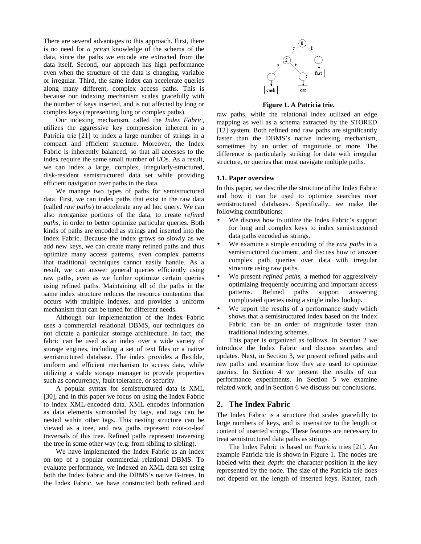There are several advantages to this approach. First, there is no need for *a priori* knowledge of the schema of the data, since the paths we encode are extracted from the data itself. Second, our approach has high performance even when the structure of the data is changing, variable or irregular. Third, the same index can accelerate queries along many different, complex access paths. This is because our indexing mechanism scales gracefully with the number of keys inserted, and is not affected by long or complex keys (representing long or complex paths).

Our indexing mechanism, called the *Index Fabric*, utilizes the aggressive key compression inherent in a Patricia trie [21] to index a large number of strings in a compact and efficient structure. Moreover, the Index Fabric is inherently balanced, so that all accesses to the index require the same small number of I/Os. As a result, we can index a large, complex, irregularly-structured, disk-resident semistructured data set while providing efficient navigation over paths in the data.

We manage two types of paths for semistructured data. First, we can index paths that exist in the raw data (called *raw paths*) to accelerate any ad hoc query. We can also reorganize portions of the data, to create *refined paths*, in order to better optimize particular queries. Both kinds of paths are encoded as strings and inserted into the Index Fabric. Because the index grows so slowly as we add new keys, we can create many refined paths and thus optimize many access patterns, even complex patterns that traditional techniques cannot easily handle. As a result, we can answer general queries efficiently using raw paths, even as we further optimize certain queries using refined paths. Maintaining all of the paths in the same index structure reduces the resource contention that occurs with multiple indexes, and provides a uniform mechanism that can be tuned for different needs.

Although our implementation of the Index Fabric uses a commercial relational DBMS, our techniques do not dictate a particular storage architecture. In fact, the fabric can be used as an index over a wide variety of storage engines, including a set of text files or a native semistructured database. The index provides a flexible, uniform and efficient mechanism to access data, while utilizing a stable storage manager to provide properties such as concurrency, fault tolerance, or security.

A popular syntax for semistructured data is XML [30], and in this paper we focus on using the Index Fabric to index XML-encoded data. XML encodes information as data elements surrounded by tags, and tags can be nested within other tags. This nesting structure can be viewed as a tree, and raw paths represent root-to-leaf traversals of this tree. Refined paths represent traversing the tree in some other way (e.g. from sibling to sibling).

We have implemented the Index Fabric as an index on top of a popular commercial relational DBMS. To evaluate performance, we indexed an XML data set using both the Index Fabric and the DBMS's native B-trees. In the Index Fabric, we have constructed both refined and



## **Figure 1. A Patricia trie.**

raw paths, while the relational index utilized an edge mapping as well as a schema extracted by the STORED [12] system. Both refined and raw paths are significantly faster than the DBMS's native indexing mechanism, sometimes by an order of magnitude or more. The difference is particularly striking for data with irregular structure, or queries that must navigate multiple paths.

## **1.1. Paper overview**

In this paper, we describe the structure of the Index Fabric and how it can be used to optimize searches over semistructured databases. Specifically, we make the following contributions:

- We discuss how to utilize the Index Fabric's support for long and complex keys to index semistructured data paths encoded as strings.
- We examine a simple encoding of the *raw paths* in a semistructured document, and discuss how to answer complex path queries over data with irregular structure using raw paths.
- We present *refined paths*, a method for aggressively optimizing frequently occurring and important access patterns. Refined paths support answering complicated queries using a single index lookup.
- We report the results of a performance study which shows that a semistructured index based on the Index Fabric can be an order of magnitude faster than traditional indexing schemes.

This paper is organized as follows. In Section 2 we introduce the Index Fabric and discuss searches and updates. Next, in Section 3, we present refined paths and raw paths and examine how they are used to optimize queries. In Section 4 we present the results of our performance experiments. In Section 5 we examine related work, and in Section 6 we discuss our conclusions.

# **2. The Index Fabric**

The Index Fabric is a structure that scales gracefully to large numbers of keys, and is insensitive to the length or content of inserted strings. These features are necessary to treat semistructured data paths as strings.

The Index Fabric is based on *Patricia* tries [21]. An example Patricia trie is shown in Figure 1. The nodes are labeled with their *depth*: the character position in the key represented by the node. The size of the Patricia trie does not depend on the length of inserted keys. Rather, each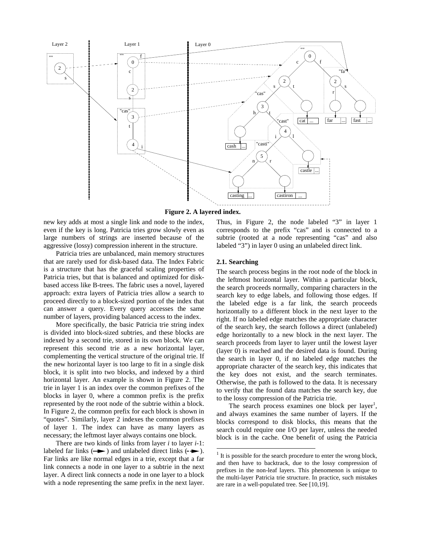

**Figure 2. A layered index.**

new key adds at most a single link and node to the index, even if the key is long. Patricia tries grow slowly even as large numbers of strings are inserted because of the aggressive (lossy) compression inherent in the structure.

Patricia tries are unbalanced, main memory structures that are rarely used for disk-based data. The Index Fabric is a structure that has the graceful scaling properties of Patricia tries, but that is balanced and optimized for diskbased access like B-trees. The fabric uses a novel, layered approach: extra layers of Patricia tries allow a search to proceed directly to a block-sized portion of the index that can answer a query. Every query accesses the same number of layers, providing balanced access to the index.

More specifically, the basic Patricia trie string index is divided into block-sized subtries, and these blocks are indexed by a second trie, stored in its own block. We can represent this second trie as a new horizontal layer, complementing the vertical structure of the original trie. If the new horizontal layer is too large to fit in a single disk block, it is split into two blocks, and indexed by a third horizontal layer. An example is shown in Figure 2. The trie in layer 1 is an index over the common prefixes of the blocks in layer 0, where a common prefix is the prefix represented by the root node of the subtrie within a block. In Figure 2, the common prefix for each block is shown in "quotes". Similarly, layer 2 indexes the common prefixes of layer 1. The index can have as many layers as necessary; the leftmost layer always contains one block.

There are two kinds of links from layer *i* to layer *i*-1: labeled far links  $(\rightarrow)$  and unlabeled direct links  $(\rightarrow)$ . Far links are like normal edges in a trie, except that a far link connects a node in one layer to a subtrie in the next layer. A direct link connects a node in one layer to a block with a node representing the same prefix in the next layer. Thus, in Figure 2, the node labeled "3" in layer 1 corresponds to the prefix "cas" and is connected to a subtrie (rooted at a node representing "cas" and also labeled "3") in layer 0 using an unlabeled direct link.

## **2.1. Searching**

The search process begins in the root node of the block in the leftmost horizontal layer. Within a particular block, the search proceeds normally, comparing characters in the search key to edge labels, and following those edges. If the labeled edge is a far link, the search proceeds horizontally to a different block in the next layer to the right. If no labeled edge matches the appropriate character of the search key, the search follows a direct (unlabeled) edge horizontally to a new block in the next layer. The search proceeds from layer to layer until the lowest layer (layer 0) is reached and the desired data is found. During the search in layer 0, if no labeled edge matches the appropriate character of the search key, this indicates that the key does not exist, and the search terminates. Otherwise, the path is followed to the data. It is necessary to verify that the found data matches the search key, due to the lossy compression of the Patricia trie.

The search process examines one block per layer<sup>1</sup>, and always examines the same number of layers. If the blocks correspond to disk blocks, this means that the search could require one I/O per layer, unless the needed block is in the cache. One benefit of using the Patricia

It is possible for the search procedure to enter the wrong block, and then have to backtrack, due to the lossy compression of prefixes in the non-leaf layers. This phenomenon is unique to the multi-layer Patricia trie structure. In practice, such mistakes are rare in a well-populated tree. See [10,19].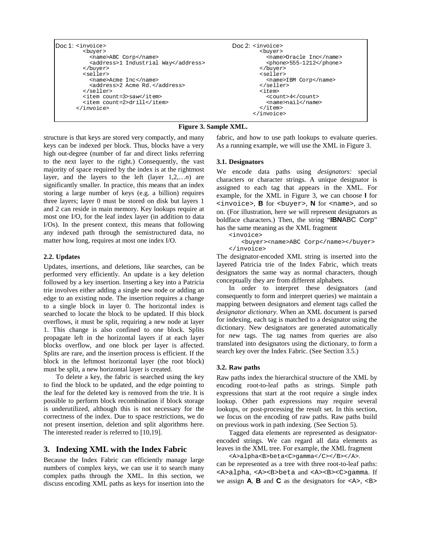```
Doc 1: <invoice>
Doc 2:
       <buyer>
         <name>ABC Corp</name>
          <address>1 Industrial Way</address>
        </buyer>
        <seller>
         <name>Acme Inc</name>
          <address>2 Acme Rd.</address>
       </seller>
       <item count=3>saw</item>
       <item count=2>drill</item>
     </invoice>
                                                    Doc 2: <invoice>
                                                            <buyer>
                                                              <name>Oracle Inc</name>
                                                              <phone>555-1212</phone>
                                                            </buyer>
                                                            <seller>
                                                              <name>IBM Corp</name>
                                                            </seller>
                                                            <item>
                                                              <count>4</count>
                                                              <name>nail</name>
                                                            \epsilon/item>
                                                          </invoice>
```
## **Figure 3. Sample XML.**

structure is that keys are stored very compactly, and many keys can be indexed per block. Thus, blocks have a very high out-degree (number of far and direct links referring to the next layer to the right.) Consequently, the vast majority of space required by the index is at the rightmost layer, and the layers to the left (layer 1,2,…*n*) are significantly smaller. In practice, this means that an index storing a large number of keys (e.g. a billion) requires three layers; layer 0 must be stored on disk but layers 1 and 2 can reside in main memory. Key lookups require at most one I/O, for the leaf index layer (in addition to data I/Os). In the present context, this means that following any indexed path through the semistructured data, no matter how long, requires at most one index I/O.

## **2.2. Updates**

Updates, insertions, and deletions, like searches, can be performed very efficiently. An update is a key deletion followed by a key insertion. Inserting a key into a Patricia trie involves either adding a single new node or adding an edge to an existing node. The insertion requires a change to a single block in layer 0. The horizontal index is searched to locate the block to be updated. If this block overflows, it must be split, requiring a new node at layer 1. This change is also confined to one block. Splits propagate left in the horizontal layers if at each layer blocks overflow, and one block per layer is affected. Splits are rare, and the insertion process is efficient. If the block in the leftmost horizontal layer (the root block) must be split, a new horizontal layer is created.

To delete a key, the fabric is searched using the key to find the block to be updated, and the edge pointing to the leaf for the deleted key is removed from the trie. It is possible to perform block recombination if block storage is underutilized, although this is not necessary for the correctness of the index. Due to space restrictions, we do not present insertion, deletion and split algorithms here. The interested reader is referred to [10,19].

# **3. Indexing XML with the Index Fabric**

Because the Index Fabric can efficiently manage large numbers of complex keys, we can use it to search many complex paths through the XML. In this section, we discuss encoding XML paths as keys for insertion into the fabric, and how to use path lookups to evaluate queries. As a running example, we will use the XML in Figure 3.

#### **3.1. Designators**

We encode data paths using *designators:* special characters or character strings. A unique designator is assigned to each tag that appears in the XML. For example, for the XML in Figure 3, we can choose **I** for <invoice>, **B** for <buyer>, **N** for <name>, and so on. (For illustration, here we will represent designators as boldface characters.) Then, the string "**IBN**ABC Corp" has the same meaning as the XML fragment

<invoice>

<buyer><name>ABC Corp</name></buyer> </invoice>

The designator-encoded XML string is inserted into the layered Patricia trie of the Index Fabric, which treats designators the same way as normal characters, though conceptually they are from different alphabets.

In order to interpret these designators (and consequently to form and interpret queries) we maintain a mapping between designators and element tags called the *designator dictionary*. When an XML document is parsed for indexing, each tag is matched to a designator using the dictionary. New designators are generated automatically for new tags. The tag names from queries are also translated into designators using the dictionary, to form a search key over the Index Fabric. (See Section 3.5.)

#### **3.2. Raw paths**

Raw paths index the hierarchical structure of the XML by encoding root-to-leaf paths as strings. Simple path expressions that start at the root require a single index lookup. Other path expressions may require several lookups, or post-processing the result set. In this section, we focus on the encoding of raw paths. Raw paths build on previous work in path indexing. (See Section 5).

Tagged data elements are represented as designatorencoded strings. We can regard all data elements as leaves in the XML tree. For example, the XML fragment

<A>alpha<B>beta<C>gamma</C></B></A>. can be represented as a tree with three root-to-leaf paths: <A>alpha, <A><B>beta and <A><B><C>gamma. If we assign  $\mathsf{A}$ ,  $\mathsf{B}$  and  $\mathsf{C}$  as the designators for  $\langle A \rangle$ ,  $\langle B \rangle$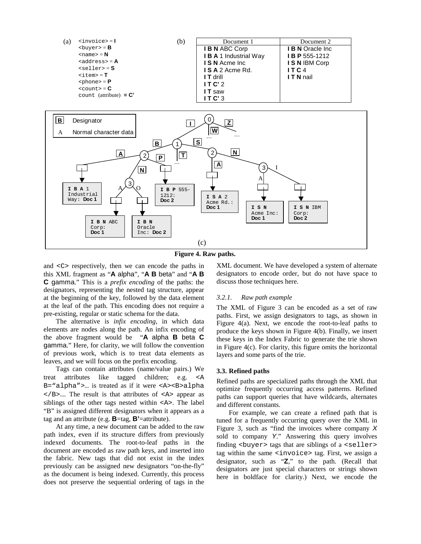

**Figure 4. Raw paths.**

and <C> respectively, then we can encode the paths in this XML fragment as "**A** alpha", "**A B** beta" and "**A B C** gamma." This is a *prefix encoding* of the paths: the designators, representing the nested tag structure, appear at the beginning of the key, followed by the data element at the leaf of the path. This encoding does not require a pre-existing, regular or static schema for the data.

The alternative is *infix encoding*, in which data elements are nodes along the path. An infix encoding of the above fragment would be "**A** alpha **B** beta **C** gamma." Here, for clarity, we will follow the convention of previous work, which is to treat data elements as leaves, and we will focus on the prefix encoding.

Tags can contain attributes (name/value pairs.) We treat attributes like tagged children; e.g. <A B="alpha">… is treated as if it were <A><B>alpha  $\langle$ B>.... The result is that attributes of  $\langle A \rangle$  appear as siblings of the other tags nested within <A>. The label "B" is assigned different designators when it appears as a tag and an attribute (e.g. **B**=tag, **B'**=attribute).

At any time, a new document can be added to the raw path index, even if its structure differs from previously indexed documents. The root-to-leaf paths in the document are encoded as raw path keys, and inserted into the fabric. New tags that did not exist in the index previously can be assigned new designators "on-the-fly" as the document is being indexed. Currently, this process does not preserve the sequential ordering of tags in the XML document. We have developed a system of alternate designators to encode order, but do not have space to discuss those techniques here.

## *3.2.1. Raw path example*

The XML of Figure 3 can be encoded as a set of raw paths. First, we assign designators to tags, as shown in Figure 4(a). Next, we encode the root-to-leaf paths to produce the keys shown in Figure 4(b). Finally, we insert these keys in the Index Fabric to generate the trie shown in Figure 4(c). For clarity, this figure omits the horizontal layers and some parts of the trie.

#### **3.3. Refined paths**

Refined paths are specialized paths through the XML that optimize frequently occurring access patterns. Refined paths can support queries that have wildcards, alternates and different constants.

For example, we can create a refined path that is tuned for a frequently occurring query over the XML in Figure 3, such as "find the invoices where company  $X$ sold to company Y." Answering this query involves finding  $\langle$ buyer> tags that are siblings of a  $\langle$  seller> tag within the same <invoice> tag. First, we assign a designator, such as "**Z**," to the path. (Recall that designators are just special characters or strings shown here in boldface for clarity.) Next, we encode the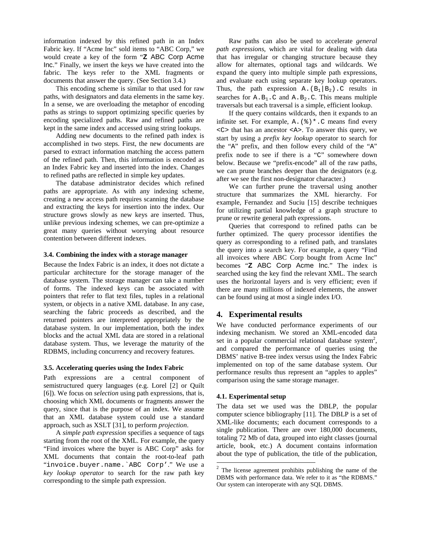information indexed by this refined path in an Index Fabric key. If "Acme Inc" sold items to "ABC Corp," we would create a key of the form "**Z** ABC Corp Acme Inc." Finally, we insert the keys we have created into the fabric. The keys refer to the XML fragments or documents that answer the query. (See Section 3.4.)

This encoding scheme is similar to that used for raw paths, with designators and data elements in the same key. In a sense, we are overloading the metaphor of encoding paths as strings to support optimizing specific queries by encoding specialized paths. Raw and refined paths are kept in the same index and accessed using string lookups.

Adding new documents to the refined path index is accomplished in two steps. First, the new documents are parsed to extract information matching the access pattern of the refined path. Then, this information is encoded as an Index Fabric key and inserted into the index. Changes to refined paths are reflected in simple key updates.

The database administrator decides which refined paths are appropriate. As with any indexing scheme, creating a new access path requires scanning the database and extracting the keys for insertion into the index. Our structure grows slowly as new keys are inserted. Thus, unlike previous indexing schemes, we can pre-optimize a great many queries without worrying about resource contention between different indexes.

#### **3.4. Combining the index with a storage manager**

Because the Index Fabric is an index, it does not dictate a particular architecture for the storage manager of the database system. The storage manager can take a number of forms. The indexed keys can be associated with pointers that refer to flat text files, tuples in a relational system, or objects in a native XML database. In any case, searching the fabric proceeds as described, and the returned pointers are interpreted appropriately by the database system. In our implementation, both the index blocks and the actual XML data are stored in a relational database system. Thus, we leverage the maturity of the RDBMS, including concurrency and recovery features.

#### **3.5. Accelerating queries using the Index Fabric**

Path expressions are a central component of semistructured query languages (e.g. Lorel [2] or Quilt [6]). We focus on *selection* using path expressions, that is, choosing which XML documents or fragments answer the query, since that is the purpose of an index. We assume that an XML database system could use a standard approach, such as XSLT [31], to perform *projection*.

A *simple path expression* specifies a sequence of tags starting from the root of the XML. For example, the query "Find invoices where the buyer is ABC Corp" asks for XML documents that contain the root-to-leaf path "invoice.buyer.name.`ABC Corp'." We use a *key lookup operator* to search for the raw path key corresponding to the simple path expression.

Raw paths can also be used to accelerate *general path expressions*, which are vital for dealing with data that has irregular or changing structure because they allow for alternates, optional tags and wildcards. We expand the query into multiple simple path expressions, and evaluate each using separate key lookup operators. Thus, the path expression A.  $(B_1|B_2)$ . C results in searches for  $A.B_1.C$  and  $A.B_2.C$ . This means multiple traversals but each traversal is a simple, efficient lookup.

If the query contains wildcards, then it expands to an infinite set. For example,  $A \cdot (8)^* \cdot C$  means find every <C> that has an ancestor <A>. To answer this query, we start by using a *prefix key lookup* operator to search for the "A" prefix, and then follow every child of the "A" prefix node to see if there is a "C" somewhere down below. Because we "prefix-encode" all of the raw paths, we can prune branches deeper than the designators (e.g. after we see the first non-designator character.)

We can further prune the traversal using another structure that summarizes the XML hierarchy. For example, Fernandez and Suciu [15] describe techniques for utilizing partial knowledge of a graph structure to prune or rewrite general path expressions.

Queries that correspond to refined paths can be further optimized. The query processor identifies the query as corresponding to a refined path, and translates the query into a search key. For example, a query "Find all invoices where ABC Corp bought from Acme Inc" becomes "**Z** ABC Corp Acme Inc." The index is searched using the key find the relevant XML. The search uses the horizontal layers and is very efficient; even if there are many millions of indexed elements, the answer can be found using at most a single index I/O.

# **4. Experimental results**

We have conducted performance experiments of our indexing mechanism. We stored an XML-encoded data set in a popular commercial relational database system<sup>2</sup>, and compared the performance of queries using the DBMS' native B-tree index versus using the Index Fabric implemented on top of the same database system. Our performance results thus represent an "apples to apples" comparison using the same storage manager.

## **4.1. Experimental setup**

The data set we used was the DBLP, the popular computer science bibliography [11]. The DBLP is a set of XML-like documents; each document corresponds to a single publication. There are over 180,000 documents, totaling 72 Mb of data, grouped into eight classes (journal article, book, etc.) A document contains information about the type of publication, the title of the publication,

<sup>&</sup>lt;sup>2</sup> The license agreement prohibits publishing the name of the DBMS with performance data. We refer to it as "the RDBMS." Our system can interoperate with any SQL DBMS.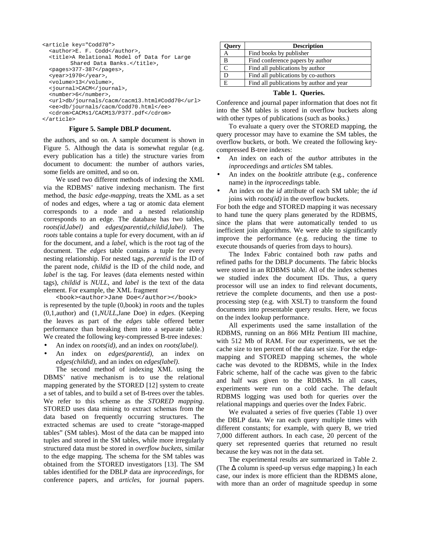```
<article key="Codd70">
  <author>E. F. Codd</author>,
  <title>A Relational Model of Data for Large
        Shared Data Banks.</title>,
  <pages>377-387</pages>,
  <year>1970</year>,
  <volume>13</volume>,
  <journal>CACM</journal>,
  <number>6</number>,
  <url>db/journals/cacm/cacm13.html#Codd70</url>
  <ee>db/journals/cacm/Codd70.html</ee>
  <cdrom>CACMs1/CACM13/P377.pdf</cdrom>
</article>
```
## **Figure 5. Sample DBLP document.**

the authors, and so on. A sample document is shown in Figure 5. Although the data is somewhat regular (e.g. every publication has a title) the structure varies from document to document: the number of authors varies, some fields are omitted, and so on.

We used two different methods of indexing the XML via the RDBMS' native indexing mechanism. The first method, the *basic edge-mapping*, treats the XML as a set of nodes and edges, where a tag or atomic data element corresponds to a node and a nested relationship corresponds to an edge. The database has two tables, *roots(id,label)* and *edges(parentid,childid,label)*. The *roots* table contains a tuple for every document, with an *id* for the document, and a *label*, which is the root tag of the document. The *edges* table contains a tuple for every nesting relationship. For nested tags, *parentid* is the ID of the parent node, *childid* is the ID of the child node, and *label* is the tag. For leaves (data elements nested within tags), *childid* is *NULL*, and *label* is the text of the data element. For example, the XML fragment

<book><author>Jane Doe</author></book> is represented by the tuple (0,book) in *roots* and the tuples (0,1,author) and (1,*NULL*,Jane Doe) in *edges*. (Keeping the leaves as part of the *edges* table offered better performance than breaking them into a separate table.) We created the following key-compressed B-tree indexes:

- An index on *roots(id)*, and an index on *roots(label)*.
- An index on *edges(parentid),* an index on *edges(childid)*, and an index on *edges(label)*.

The second method of indexing XML using the DBMS' native mechanism is to use the relational mapping generated by the STORED [12] system to create a set of tables, and to build a set of B-trees over the tables. We refer to this scheme as the *STORED mapping*. STORED uses data mining to extract schemas from the data based on frequently occurring structures. The extracted schemas are used to create "storage-mapped tables" (SM tables). Most of the data can be mapped into tuples and stored in the SM tables, while more irregularly structured data must be stored in *overflow buckets*, similar to the edge mapping. The schema for the SM tables was obtained from the STORED investigators [13]. The SM tables identified for the DBLP data are *inproceedings*, for conference papers, and *articles*, for journal papers.

| Query | <b>Description</b>                       |  |  |  |  |  |  |  |
|-------|------------------------------------------|--|--|--|--|--|--|--|
| А     | Find books by publisher                  |  |  |  |  |  |  |  |
| B     | Find conference papers by author         |  |  |  |  |  |  |  |
|       | Find all publications by author          |  |  |  |  |  |  |  |
| D     | Find all publications by co-authors      |  |  |  |  |  |  |  |
| E     | Find all publications by author and year |  |  |  |  |  |  |  |

# **Table 1. Queries.**

Conference and journal paper information that does not fit into the SM tables is stored in overflow buckets along with other types of publications (such as books.)

To evaluate a query over the STORED mapping, the query processor may have to examine the SM tables, the overflow buckets, or both. We created the following keycompressed B-tree indexes:

- An index on each of the *author* attributes in the *inproceedings* and *articles* SM tables.
- An index on the *booktitle* attribute (e.g., conference name) in the *inproceedings* table.
- An index on the *id* attribute of each SM table; the *id* joins with *roots(id)* in the overflow buckets.

For both the edge and STORED mapping it was necessary to hand tune the query plans generated by the RDBMS, since the plans that were automatically tended to us inefficient join algorithms. We were able to significantly improve the performance (e.g. reducing the time to execute thousands of queries from days to hours).

The Index Fabric contained both raw paths and refined paths for the DBLP documents. The fabric blocks were stored in an RDBMS table. All of the index schemes we studied index the document IDs. Thus, a query processor will use an index to find relevant documents, retrieve the complete documents, and then use a postprocessing step (e.g. with XSLT) to transform the found documents into presentable query results. Here, we focus on the index lookup performance.

All experiments used the same installation of the RDBMS, running on an 866 MHz Pentium III machine, with 512 Mb of RAM. For our experiments, we set the cache size to ten percent of the data set size. For the edgemapping and STORED mapping schemes, the whole cache was devoted to the RDBMS, while in the Index Fabric scheme, half of the cache was given to the fabric and half was given to the RDBMS. In all cases, experiments were run on a cold cache. The default RDBMS logging was used both for queries over the relational mappings and queries over the Index Fabric.

We evaluated a series of five queries (Table 1) over the DBLP data. We ran each query multiple times with different constants; for example, with query B, we tried 7,000 different authors. In each case, 20 percent of the query set represented queries that returned no result because the key was not in the data set.

The experimental results are summarized in Table 2. (The ∆ column is speed-up versus edge mapping.) In each case, our index is more efficient than the RDBMS alone, with more than an order of magnitude speedup in some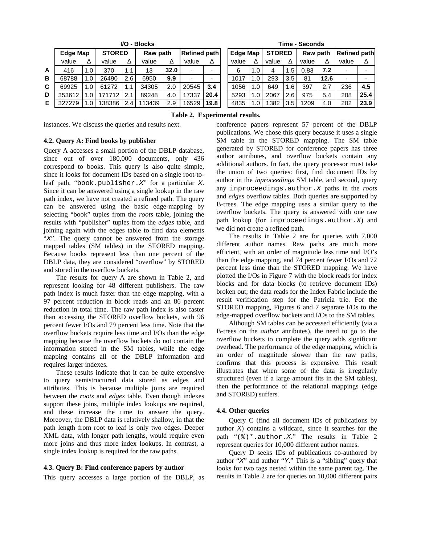| I/O - Blocks |          |         |               |      |          |      |                     | Time - Seconds |                 |                  |               |              |          |      |                     |      |
|--------------|----------|---------|---------------|------|----------|------|---------------------|----------------|-----------------|------------------|---------------|--------------|----------|------|---------------------|------|
|              | Edge Map |         | <b>STORED</b> |      | Raw path |      | <b>Refined path</b> |                | <b>Edge Map</b> |                  | <b>STORED</b> |              | Raw path |      | <b>Refined path</b> |      |
|              | value    | Δ       | value         |      | value    | Δ    | value               | Δ              | value           | Δ                | value         | Δ            | value    | Δ    | value               |      |
| A            | 416      | 1.01    | 370           | 1.1  | 13       | 32.0 | -                   | -              | 6               | 1.0              | 4             | $.5^{\circ}$ | 0.83     | 7.2  | -                   |      |
| в            | 68788    | 1.01    | 26490         | 2.61 | 6950     | 9.9  |                     | -              | 1017            | 1.0              | 293           | 3.5          | 81       | 12.6 | -                   |      |
| C.           | 69925    | 1.01    | 61272         |      | 34305    | 2.0  | 20545               | 3.4            | 1056            | 1.0              | 649           | 1.6          | 397      | 2.7  | 236                 | 4.5  |
| D            | 353612   | 1.O I   | 171712        | 2.1  | 89248    | 4.0  | 17337               | 20.4           | 5293            | 1.0              | 2067          | 2.6          | 975      | 5.4  | 208                 | 25.4 |
| E.           | 327279   | 1. $0l$ | 138386        | 2.4  | 113439   | 2.9  | 16529               | 19.8           | 4835            | 1.0 <sub>1</sub> | 1382          | 3.5          | 1209     | 4.0  | 202                 | 23.9 |

**Time - Seconds** 

| <b>Edge Map</b> |     | <b>STORED</b> |     | Raw path |      | <b>Refined path</b> |      |  |  |  |  |
|-----------------|-----|---------------|-----|----------|------|---------------------|------|--|--|--|--|
| value           | л   | value         | Δ   | value    | Δ    | value               | Δ    |  |  |  |  |
| 6               | 1.0 | 4             | 1.5 | 0.83     | 7.2  |                     |      |  |  |  |  |
| 1017            | 1.0 | 293           | 3.5 | 81       | 12.6 |                     |      |  |  |  |  |
| 1056            | 1.0 | 649           | 1.6 | 397      | 2.7  | 236                 | 4.5  |  |  |  |  |
| 5293            | 1.0 | 2067          | 2.6 | 975      | 5.4  | 208                 | 25.4 |  |  |  |  |
| 4835            | 1.0 | 1382          | 3.5 | 1209     | 4.0  | 202                 | 23.9 |  |  |  |  |

instances. We discuss the queries and results next.

**Table 2. Experimental results.**

## **4.2. Query A: Find books by publisher**

Query A accesses a small portion of the DBLP database, since out of over 180,000 documents, only 436 correspond to books. This query is also quite simple, since it looks for document IDs based on a single root-toleaf path, "book.publisher. $X$ " for a particular X. Since it can be answered using a single lookup in the raw path index, we have not created a refined path. The query can be answered using the basic edge-mapping by selecting "book" tuples from the *roots* table, joining the results with "publisher" tuples from the *edges* table, and joining again with the edges table to find data elements "X". The query cannot be answered from the storage mapped tables (SM tables) in the STORED mapping. Because books represent less than one percent of the DBLP data, they are considered "overflow" by STORED and stored in the overflow buckets.

The results for query A are shown in Table 2, and represent looking for 48 different publishers. The raw path index is much faster than the edge mapping, with a 97 percent reduction in block reads and an 86 percent reduction in total time. The raw path index is also faster than accessing the STORED overflow buckets, with 96 percent fewer I/Os and 79 percent less time. Note that the overflow buckets require less time and I/Os than the edge mapping because the overflow buckets do not contain the information stored in the SM tables, while the edge mapping contains all of the DBLP information and requires larger indexes.

These results indicate that it can be quite expensive to query semistructured data stored as edges and attributes. This is because multiple joins are required between the *roots* and *edges* table. Even though indexes support these joins, multiple index lookups are required, and these increase the time to answer the query. Moreover, the DBLP data is relatively shallow, in that the path length from root to leaf is only two edges. Deeper XML data, with longer path lengths, would require even more joins and thus more index lookups. In contrast, a single index lookup is required for the raw paths.

# **4.3. Query B: Find conference papers by author**

This query accesses a large portion of the DBLP, as

conference papers represent 57 percent of the DBLP publications. We chose this query because it uses a single SM table in the STORED mapping. The SM table generated by STORED for conference papers has three author attributes, and overflow buckets contain any additional authors. In fact, the query processor must take the union of two queries: first, find document IDs by author in the *inproceedings* SM table, and second, query any inproceedings.author.X paths in the *roots* and *edges* overflow tables. Both queries are supported by B-trees. The edge mapping uses a similar query to the overflow buckets. The query is answered with one raw path lookup (for inproceedings.author.X) and we did not create a refined path.

The results in Table 2 are for queries with 7,000 different author names. Raw paths are much more efficient, with an order of magnitude less time and I/O's than the edge mapping, and 74 percent fewer I/Os and 72 percent less time than the STORED mapping. We have plotted the I/Os in Figure 7 with the block reads for index blocks and for data blocks (to retrieve document IDs) broken out; the data reads for the Index Fabric include the result verification step for the Patricia trie. For the STORED mapping, Figures 6 and 7 separate I/Os to the edge-mapped overflow buckets and I/Os to the SM tables.

Although SM tables can be accessed efficiently (via a B-trees on the *author* attributes), the need to go to the overflow buckets to complete the query adds significant overhead. The performance of the edge mapping, which is an order of magnitude slower than the raw paths, confirms that this process is expensive. This result illustrates that when some of the data is irregularly structured (even if a large amount fits in the SM tables), then the performance of the relational mappings (edge and STORED) suffers.

## **4.4. Other queries**

Query C (find all document IDs of publications by author  $X$ ) contains a wildcard, since it searches for the path " $(\frac{1}{2})^*$ . author. X." The results in Table 2 represent queries for 10,000 different author names.

Query D seeks IDs of publications co-authored by author " $X$ " and author "Y." This is a "sibling" query that looks for two tags nested within the same parent tag. The results in Table 2 are for queries on 10,000 different pairs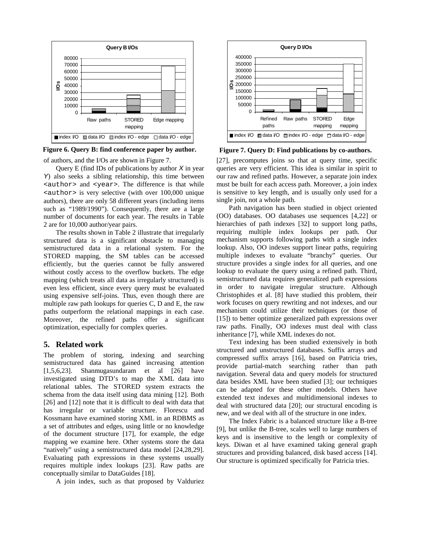

**Figure 6. Query B: find conference paper by author.**

of authors, and the I/Os are shown in Figure 7.

Query E (find IDs of publications by author  $X$  in year Y) also seeks a sibling relationship, this time between <author> and <year>. The difference is that while <author> is very selective (with over 100,000 unique authors), there are only 58 different years (including items such as "1989/1990"). Consequently, there are a large number of documents for each year. The results in Table 2 are for 10,000 author/year pairs.

The results shown in Table 2 illustrate that irregularly structured data is a significant obstacle to managing semistructured data in a relational system. For the STORED mapping, the SM tables can be accessed efficiently, but the queries cannot be fully answered without costly access to the overflow buckets. The edge mapping (which treats all data as irregularly structured) is even less efficient, since every query must be evaluated using expensive self-joins. Thus, even though there are multiple raw path lookups for queries C, D and E, the raw paths outperform the relational mappings in each case. Moreover, the refined paths offer a significant optimization, especially for complex queries.

# **5. Related work**

The problem of storing, indexing and searching semistructured data has gained increasing attention [1,5,6,23]. Shanmugasundaram et al [26] have investigated using DTD's to map the XML data into relational tables. The STORED system extracts the schema from the data itself using data mining [12]. Both [26] and [12] note that it is difficult to deal with data that has irregular or variable structure. Florescu and Kossmann have examined storing XML in an RDBMS as a set of attributes and edges, using little or no knowledge of the document structure [17], for example, the edge mapping we examine here. Other systems store the data "natively" using a semistructured data model [24,28,29]. Evaluating path expressions in these systems usually requires multiple index lookups [23]. Raw paths are conceptually similar to DataGuides [18].

A join index, such as that proposed by Valduriez



**Figure 7. Query D: Find publications by co-authors.**

[27], precomputes joins so that at query time, specific queries are very efficient. This idea is similar in spirit to our raw and refined paths. However, a separate join index must be built for each access path. Moreover, a join index is sensitive to key length, and is usually only used for a single join, not a whole path.

Path navigation has been studied in object oriented (OO) databases. OO databases use sequences [4,22] or hierarchies of path indexes [32] to support long paths, requiring multiple index lookups per path. Our mechanism supports following paths with a single index lookup. Also, OO indexes support linear paths, requiring multiple indexes to evaluate "branchy" queries. Our structure provides a single index for all queries, and one lookup to evaluate the query using a refined path. Third, semistructured data requires generalized path expressions in order to navigate irregular structure. Although Christophides et al. [8] have studied this problem, their work focuses on query rewriting and not indexes, and our mechanism could utilize their techniques (or those of [15]) to better optimize generalized path expressions over raw paths. Finally, OO indexes must deal with class inheritance [7], while XML indexes do not.

Text indexing has been studied extensively in both structured and unstructured databases. Suffix arrays and compressed suffix arrays [16], based on Patricia tries, provide partial-match searching rather than path navigation. Several data and query models for structured data besides XML have been studied [3]; our techniques can be adapted for these other models. Others have extended text indexes and multidimensional indexes to deal with structured data [20]; our structural encoding is new, and we deal with all of the structure in one index.

The Index Fabric is a balanced structure like a B-tree [9], but unlike the B-tree, scales well to large numbers of keys and is insensitive to the length or complexity of keys. Diwan et al have examined taking general graph structures and providing balanced, disk based access [14]. Our structure is optimized specifically for Patricia tries.